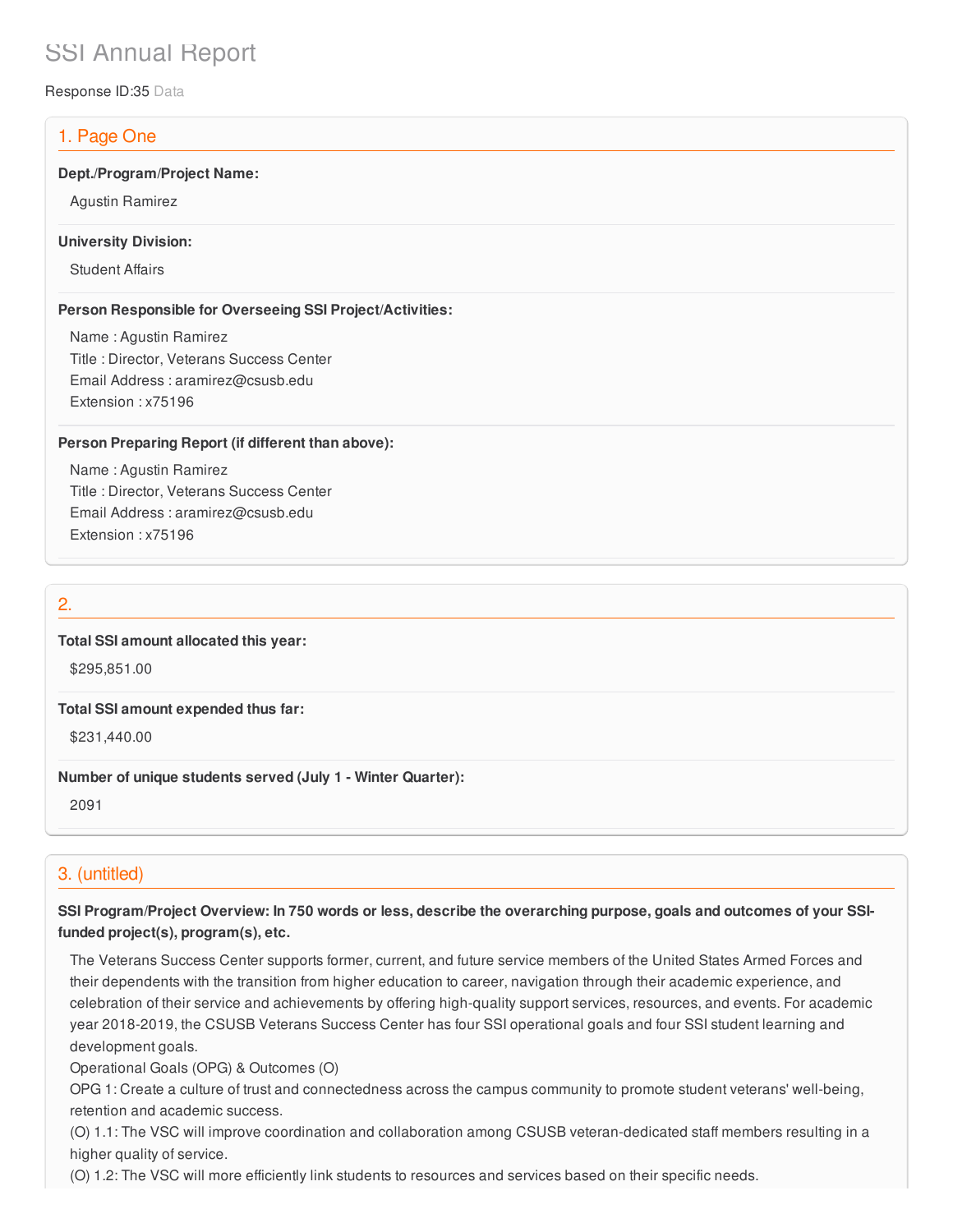# SSI Annual Report

Response ID:35 Data

# 1. Page One

### **Dept./Program/Project Name:**

Agustin Ramirez

### **University Division:**

Student Affairs

## **Person Responsible for Overseeing SSI Project/Activities:**

Name : Agustin Ramirez Title : Director, Veterans Success Center Email Address : aramirez@csusb.edu Extension : x75196

## **Person Preparing Report (if different than above):**

Name : Agustin Ramirez Title : Director, Veterans Success Center Email Address : aramirez@csusb.edu Extension : x75196

## 2.

## **Total SSI amount allocated this year:**

\$295,851.00

#### **Total SSI amount expended thus far:**

\$231,440.00

#### **Number of unique students served (July 1 - Winter Quarter):**

2091

# 3. (untitled)

SSI Program/Project Overview: In 750 words or less, describe the overarching purpose, goals and outcomes of your SSI**funded project(s), program(s), etc.**

The Veterans Success Center supports former, current, and future service members of the United States Armed Forces and their dependents with the transition from higher education to career, navigation through their academic experience, and celebration of their service and achievements by offering high-quality support services, resources, and events. For academic year 2018-2019, the CSUSB Veterans Success Center has four SSI operational goals and four SSI student learning and development goals.

Operational Goals (OPG) & Outcomes (O)

OPG 1: Create a culture of trust and connectedness across the campus community to promote student veterans' well-being, retention and academic success.

(O) 1.1: The VSC will improve coordination and collaboration among CSUSB veteran-dedicated staff members resulting in a higher quality of service.

(O) 1.2: The VSC will more efficiently link students to resources and services based on their specific needs.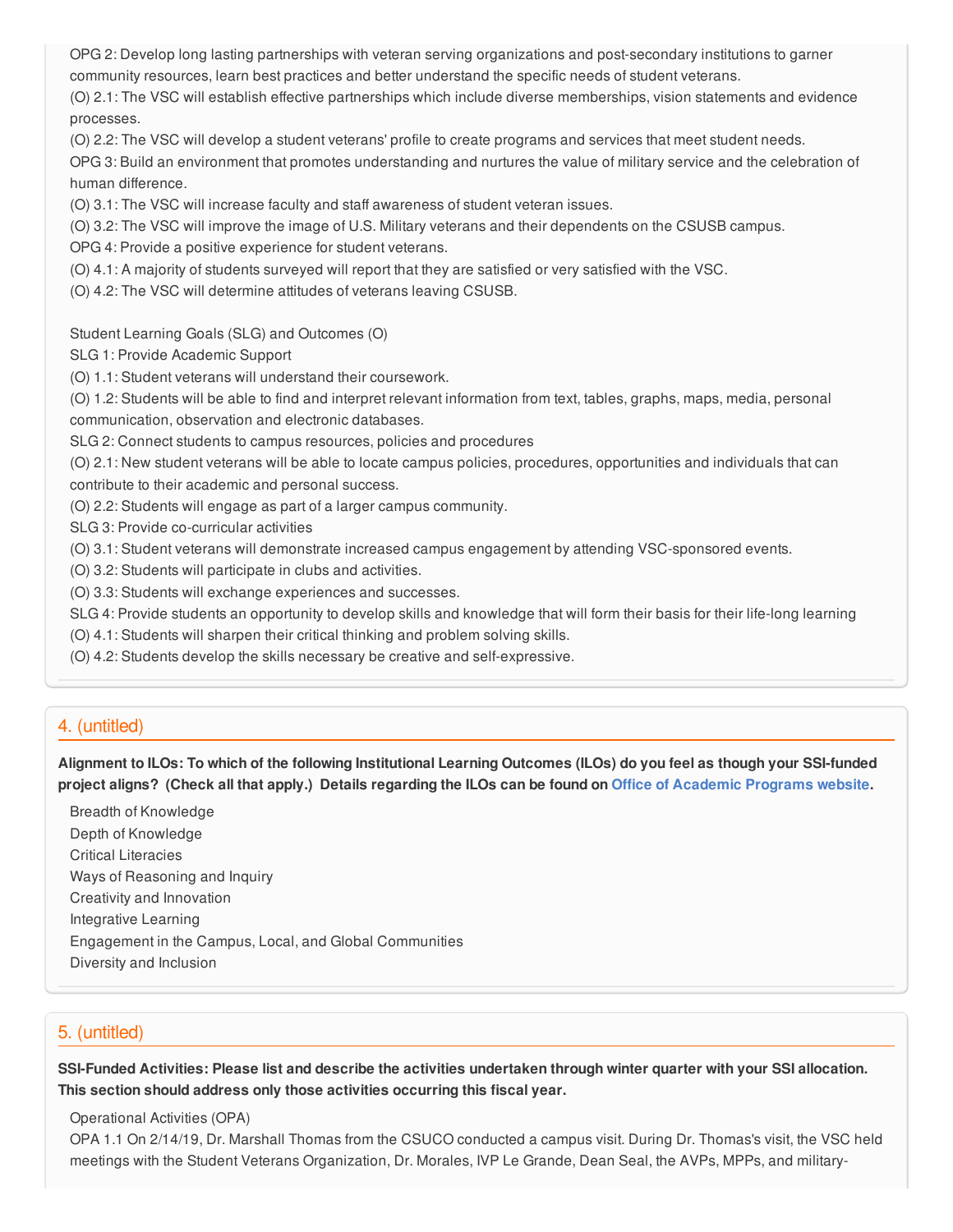OPG 2: Develop long lasting partnerships with veteran serving organizations and post-secondary institutions to garner community resources, learn best practices and better understand the specific needs of student veterans.

(O) 2.1: The VSC will establish effective partnerships which include diverse memberships, vision statements and evidence processes.

(O) 2.2: The VSC will develop a student veterans' profile to create programs and services that meet student needs.

OPG 3: Build an environment that promotes understanding and nurtures the value of military service and the celebration of human difference.

(O) 3.1: The VSC will increase faculty and staff awareness of student veteran issues.

(O) 3.2: The VSC will improve the image of U.S. Military veterans and their dependents on the CSUSB campus.

OPG 4: Provide a positive experience for student veterans.

(O) 4.1: A majority of students surveyed will report that they are satisfied or very satisfied with the VSC.

(O) 4.2: The VSC will determine attitudes of veterans leaving CSUSB.

Student Learning Goals (SLG) and Outcomes (O)

SLG 1: Provide Academic Support

(O) 1.1: Student veterans will understand their coursework.

(O) 1.2: Students will be able to find and interpret relevant information from text, tables, graphs, maps, media, personal communication, observation and electronic databases.

SLG 2: Connect students to campus resources, policies and procedures

(O) 2.1: New student veterans will be able to locate campus policies, procedures, opportunities and individuals that can

contribute to their academic and personal success.

(O) 2.2: Students will engage as part of a larger campus community.

SLG 3: Provide co-curricular activities

(O) 3.1: Student veterans will demonstrate increased campus engagement by attending VSC-sponsored events.

(O) 3.2: Students will participate in clubs and activities.

(O) 3.3: Students will exchange experiences and successes.

SLG 4: Provide students an opportunity to develop skills and knowledge that will form their basis for their life-long learning

(O) 4.1: Students will sharpen their critical thinking and problem solving skills.

(O) 4.2: Students develop the skills necessary be creative and self-expressive.

## 4. (untitled)

Alignment to ILOs: To which of the following Institutional Learning Outcomes (ILOs) do you feel as though your SSI-funded project aligns? (Check all that apply.) Details regarding the ILOs can be found on Office of [Academic](https://www.csusb.edu/sites/csusb/files/CSUSB_Institutional_Learning_Outcomes-Endorsed.pdf) Programs website.

Breadth of Knowledge Depth of Knowledge Critical Literacies Ways of Reasoning and Inquiry Creativity and Innovation Integrative Learning Engagement in the Campus, Local, and Global Communities Diversity and Inclusion

# 5. (untitled)

SSI-Funded Activities: Please list and describe the activities undertaken through winter quarter with your SSI allocation. **This section should address only those activities occurring this fiscal year.**

Operational Activities (OPA)

OPA 1.1 On 2/14/19, Dr. Marshall Thomas from the CSUCO conducted a campus visit. During Dr. Thomas's visit, the VSC held meetings with the Student Veterans Organization, Dr. Morales, IVP Le Grande, Dean Seal, the AVPs, MPPs, and military-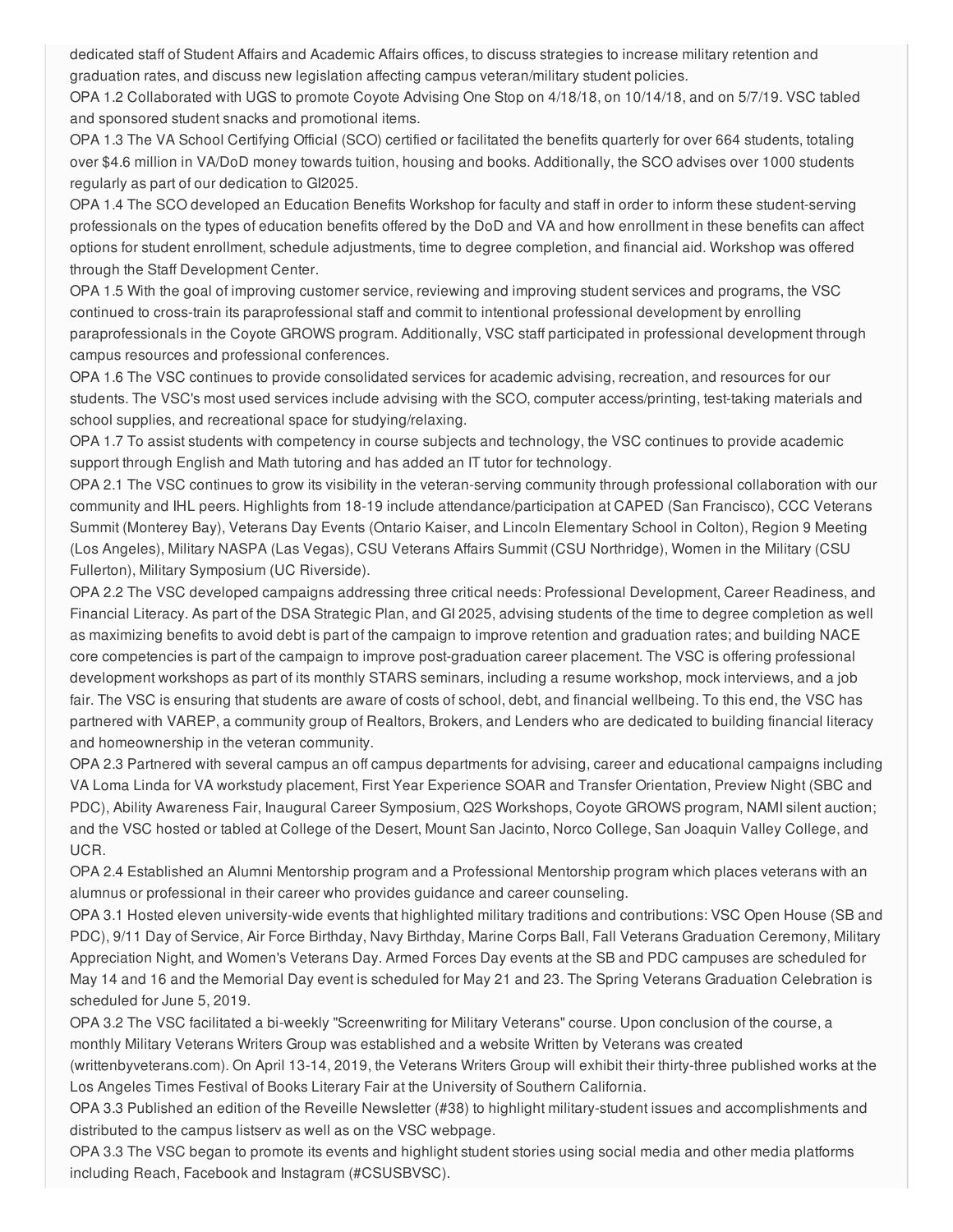dedicated staff of Student Affairs and Academic Affairs offices, to discuss strategies to increase military retention and graduation rates, and discuss new legislation affecting campus veteran/military student policies.

OPA 1.2 Collaborated with UGS to promote Coyote Advising One Stop on 4/18/18, on 10/14/18, and on 5/7/19. VSC tabled and sponsored student snacks and promotional items.

OPA 1.3 The VA School Certifying Official (SCO) certified or facilitated the benefits quarterly for over 664 students, totaling over \$4.6 million in VA/DoD money towards tuition, housing and books. Additionally, the SCO advises over 1000 students regularly as part of our dedication to GI2025.

OPA 1.4 The SCO developed an Education Benefits Workshop for faculty and staff in order to inform these student-serving professionals on the types of education benefits offered by the DoD and VA and how enrollment in these benefits can affect options for student enrollment, schedule adjustments, time to degree completion, and financial aid. Workshop was offered through the Staff Development Center.

OPA 1.5 With the goal of improving customer service, reviewing and improving student services and programs, the VSC continued to cross-train its paraprofessional staff and commit to intentional professional development by enrolling paraprofessionals in the Coyote GROWS program. Additionally, VSC staff participated in professional development through campus resources and professional conferences.

OPA 1.6 The VSC continues to provide consolidated services for academic advising, recreation, and resources for our students. The VSC's most used services include advising with the SCO, computer access/printing, test-taking materials and school supplies, and recreational space for studying/relaxing.

OPA 1.7 To assist students with competency in course subjects and technology, the VSC continues to provide academic support through English and Math tutoring and has added an IT tutor for technology.

OPA 2.1 The VSC continues to grow its visibility in the veteran-serving community through professional collaboration with our community and IHL peers. Highlights from 18-19 include attendance/participation at CAPED (San Francisco), CCC Veterans Summit (Monterey Bay), Veterans Day Events (Ontario Kaiser, and Lincoln Elementary School in Colton), Region 9 Meeting (Los Angeles), Military NASPA (Las Vegas), CSU Veterans Affairs Summit (CSU Northridge), Women in the Military (CSU Fullerton), Military Symposium (UC Riverside).

OPA 2.2 The VSC developed campaigns addressing three critical needs: Professional Development, Career Readiness, and Financial Literacy. As part of the DSA Strategic Plan, and GI 2025, advising students of the time to degree completion as well as maximizing benefits to avoid debt is part of the campaign to improve retention and graduation rates; and building NACE core competencies is part of the campaign to improve post-graduation career placement. The VSC is offering professional development workshops as part of its monthly STARS seminars, including a resume workshop, mock interviews, and a job fair. The VSC is ensuring that students are aware of costs of school, debt, and financial wellbeing. To this end, the VSC has partnered with VAREP, a community group of Realtors, Brokers, and Lenders who are dedicated to building financial literacy and homeownership in the veteran community.

OPA 2.3 Partnered with several campus an off campus departments for advising, career and educational campaigns including VA Loma Linda for VA workstudy placement, First Year Experience SOAR and Transfer Orientation, Preview Night (SBC and PDC), Ability Awareness Fair, Inaugural Career Symposium, Q2S Workshops, Coyote GROWS program, NAMI silent auction; and the VSC hosted or tabled at College of the Desert, Mount San Jacinto, Norco College, San Joaquin Valley College, and UCR.

OPA 2.4 Established an Alumni Mentorship program and a Professional Mentorship program which places veterans with an alumnus or professional in their career who provides guidance and career counseling.

OPA 3.1 Hosted eleven university-wide events that highlighted military traditions and contributions: VSC Open House (SB and PDC), 9/11 Day of Service, Air Force Birthday, Navy Birthday, Marine Corps Ball, Fall Veterans Graduation Ceremony, Military Appreciation Night, and Women's Veterans Day. Armed Forces Day events at the SB and PDC campuses are scheduled for May 14 and 16 and the Memorial Day event is scheduled for May 21 and 23. The Spring Veterans Graduation Celebration is scheduled for June 5, 2019.

OPA 3.2 The VSC facilitated a bi-weekly "Screenwriting for Military Veterans" course. Upon conclusion of the course, a monthly Military Veterans Writers Group was established and a website Written by Veterans was created

(writtenbyveterans.com). On April 13-14, 2019, the Veterans Writers Group will exhibit their thirty-three published works at the Los Angeles Times Festival of Books Literary Fair at the University of Southern California.

OPA 3.3 Published an edition of the Reveille Newsletter (#38) to highlight military-student issues and accomplishments and distributed to the campus listserv as well as on the VSC webpage.

OPA 3.3 The VSC began to promote its events and highlight student stories using social media and other media platforms including Reach, Facebook and Instagram (#CSUSBVSC).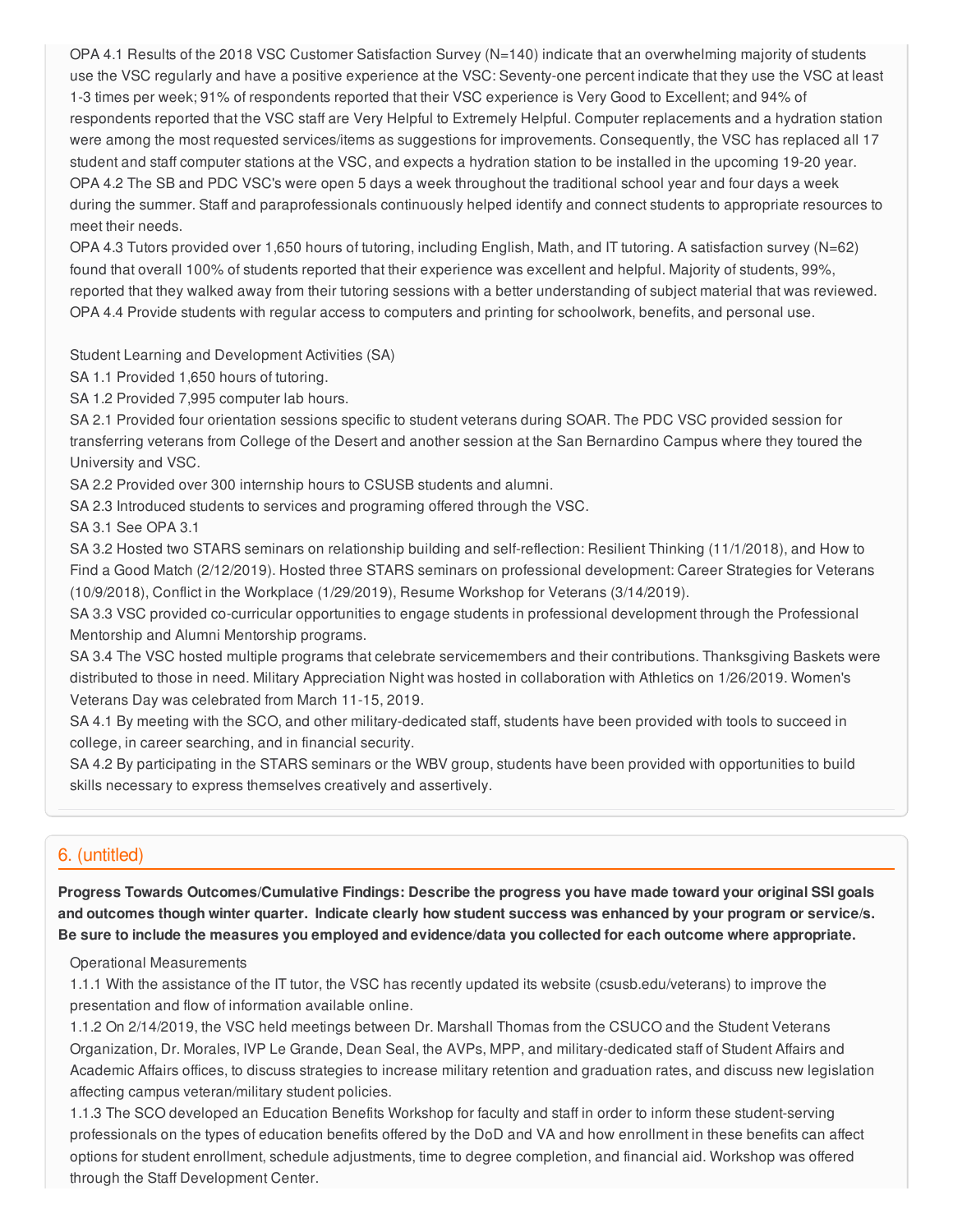OPA 4.1 Results of the 2018 VSC Customer Satisfaction Survey (N=140) indicate that an overwhelming majority of students use the VSC regularly and have a positive experience at the VSC: Seventy-one percent indicate that they use the VSC at least 1-3 times per week; 91% of respondents reported that their VSC experience is Very Good to Excellent; and 94% of respondents reported that the VSC staff are Very Helpful to Extremely Helpful. Computer replacements and a hydration station were among the most requested services/items as suggestions for improvements. Consequently, the VSC has replaced all 17 student and staff computer stations at the VSC, and expects a hydration station to be installed in the upcoming 19-20 year. OPA 4.2 The SB and PDC VSC's were open 5 days a week throughout the traditional school year and four days a week during the summer. Staff and paraprofessionals continuously helped identify and connect students to appropriate resources to meet their needs.

OPA 4.3 Tutors provided over 1,650 hours of tutoring, including English, Math, and IT tutoring. A satisfaction survey (N=62) found that overall 100% of students reported that their experience was excellent and helpful. Majority of students, 99%, reported that they walked away from their tutoring sessions with a better understanding of subject material that was reviewed. OPA 4.4 Provide students with regular access to computers and printing for schoolwork, benefits, and personal use.

Student Learning and Development Activities (SA)

SA 1.1 Provided 1,650 hours of tutoring.

SA 1.2 Provided 7,995 computer lab hours.

SA 2.1 Provided four orientation sessions specific to student veterans during SOAR. The PDC VSC provided session for transferring veterans from College of the Desert and another session at the San Bernardino Campus where they toured the University and VSC.

SA 2.2 Provided over 300 internship hours to CSUSB students and alumni.

SA 2.3 Introduced students to services and programing offered through the VSC.

SA 3.1 See OPA 3.1

SA 3.2 Hosted two STARS seminars on relationship building and self-reflection: Resilient Thinking (11/1/2018), and How to Find a Good Match (2/12/2019). Hosted three STARS seminars on professional development: Career Strategies for Veterans (10/9/2018), Conflict in the Workplace (1/29/2019), Resume Workshop for Veterans (3/14/2019).

SA 3.3 VSC provided co-curricular opportunities to engage students in professional development through the Professional Mentorship and Alumni Mentorship programs.

SA 3.4 The VSC hosted multiple programs that celebrate servicemembers and their contributions. Thanksgiving Baskets were distributed to those in need. Military Appreciation Night was hosted in collaboration with Athletics on 1/26/2019. Women's Veterans Day was celebrated from March 11-15, 2019.

SA 4.1 By meeting with the SCO, and other military-dedicated staff, students have been provided with tools to succeed in college, in career searching, and in financial security.

SA 4.2 By participating in the STARS seminars or the WBV group, students have been provided with opportunities to build skills necessary to express themselves creatively and assertively.

## 6. (untitled)

**Progress Towards Outcomes/Cumulative Findings: Describe the progress you have made toward your original SSI goals** and outcomes though winter quarter. Indicate clearly how student success was enhanced by your program or service/s. Be sure to include the measures you employed and evidence/data you collected for each outcome where appropriate.

Operational Measurements

1.1.1 With the assistance of the IT tutor, the VSC has recently updated its website (csusb.edu/veterans) to improve the presentation and flow of information available online.

1.1.2 On 2/14/2019, the VSC held meetings between Dr. Marshall Thomas from the CSUCO and the Student Veterans Organization, Dr. Morales, IVP Le Grande, Dean Seal, the AVPs, MPP, and military-dedicated staff of Student Affairs and Academic Affairs offices, to discuss strategies to increase military retention and graduation rates, and discuss new legislation affecting campus veteran/military student policies.

1.1.3 The SCO developed an Education Benefits Workshop for faculty and staff in order to inform these student-serving professionals on the types of education benefits offered by the DoD and VA and how enrollment in these benefits can affect options for student enrollment, schedule adjustments, time to degree completion, and financial aid. Workshop was offered through the Staff Development Center.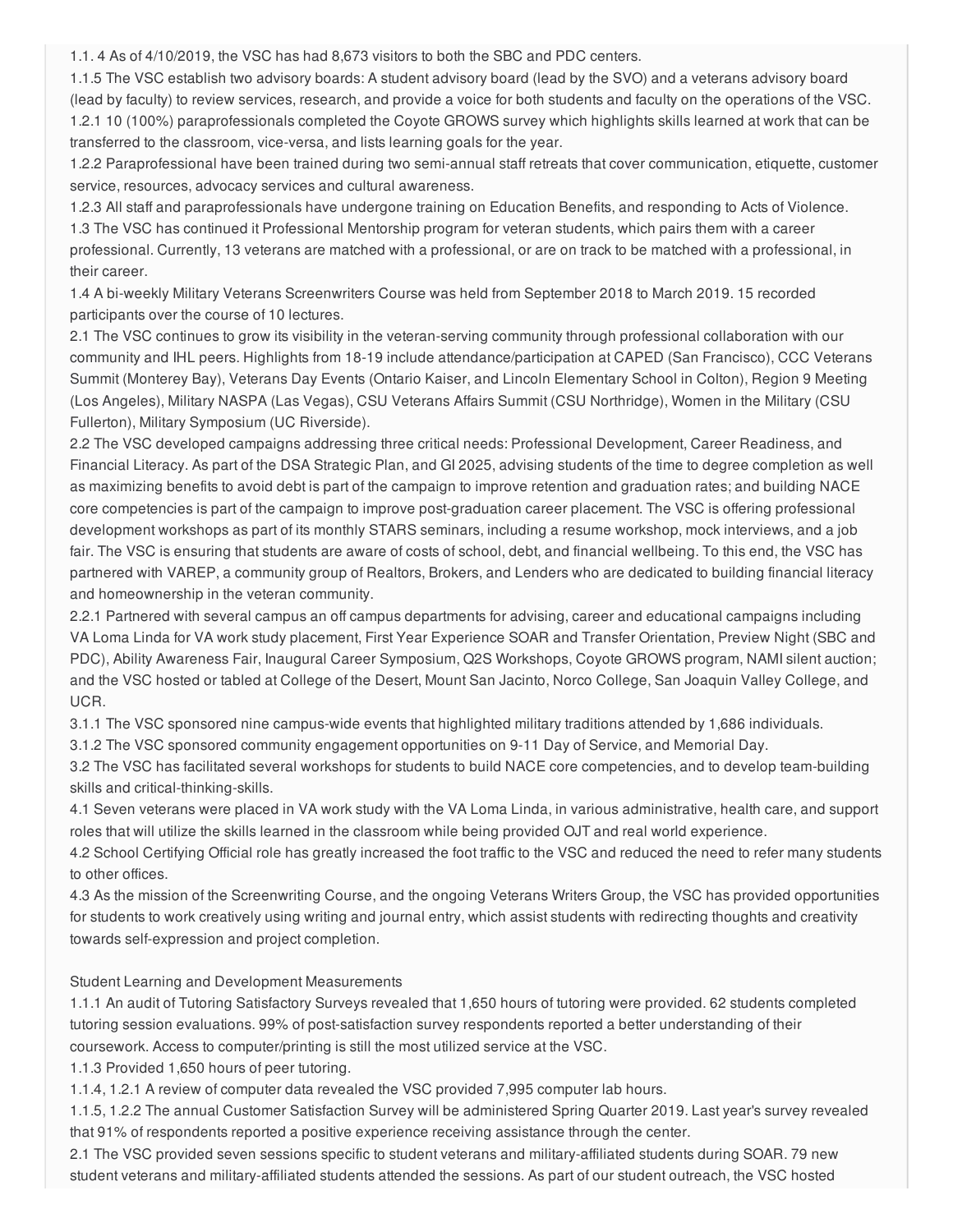1.1. 4 As of 4/10/2019, the VSC has had 8,673 visitors to both the SBC and PDC centers.

1.1.5 The VSC establish two advisory boards: A student advisory board (lead by the SVO) and a veterans advisory board (lead by faculty) to review services, research, and provide a voice for both students and faculty on the operations of the VSC. 1.2.1 10 (100%) paraprofessionals completed the Coyote GROWS survey which highlights skills learned at work that can be transferred to the classroom, vice-versa, and lists learning goals for the year.

1.2.2 Paraprofessional have been trained during two semi-annual staff retreats that cover communication, etiquette, customer service, resources, advocacy services and cultural awareness.

1.2.3 All staff and paraprofessionals have undergone training on Education Benefits, and responding to Acts of Violence.

1.3 The VSC has continued it Professional Mentorship program for veteran students, which pairs them with a career professional. Currently, 13 veterans are matched with a professional, or are on track to be matched with a professional, in their career.

1.4 A bi-weekly Military Veterans Screenwriters Course was held from September 2018 to March 2019. 15 recorded participants over the course of 10 lectures.

2.1 The VSC continues to grow its visibility in the veteran-serving community through professional collaboration with our community and IHL peers. Highlights from 18-19 include attendance/participation at CAPED (San Francisco), CCC Veterans Summit (Monterey Bay), Veterans Day Events (Ontario Kaiser, and Lincoln Elementary School in Colton), Region 9 Meeting (Los Angeles), Military NASPA (Las Vegas), CSU Veterans Affairs Summit (CSU Northridge), Women in the Military (CSU Fullerton), Military Symposium (UC Riverside).

2.2 The VSC developed campaigns addressing three critical needs: Professional Development, Career Readiness, and Financial Literacy. As part of the DSA Strategic Plan, and GI 2025, advising students of the time to degree completion as well as maximizing benefits to avoid debt is part of the campaign to improve retention and graduation rates; and building NACE core competencies is part of the campaign to improve post-graduation career placement. The VSC is offering professional development workshops as part of its monthly STARS seminars, including a resume workshop, mock interviews, and a job fair. The VSC is ensuring that students are aware of costs of school, debt, and financial wellbeing. To this end, the VSC has partnered with VAREP, a community group of Realtors, Brokers, and Lenders who are dedicated to building financial literacy and homeownership in the veteran community.

2.2.1 Partnered with several campus an off campus departments for advising, career and educational campaigns including VA Loma Linda for VA work study placement, First Year Experience SOAR and Transfer Orientation, Preview Night (SBC and PDC), Ability Awareness Fair, Inaugural Career Symposium, Q2S Workshops, Coyote GROWS program, NAMI silent auction; and the VSC hosted or tabled at College of the Desert, Mount San Jacinto, Norco College, San Joaquin Valley College, and UCR.

3.1.1 The VSC sponsored nine campus-wide events that highlighted military traditions attended by 1,686 individuals.

3.1.2 The VSC sponsored community engagement opportunities on 9-11 Day of Service, and Memorial Day.

3.2 The VSC has facilitated several workshops for students to build NACE core competencies, and to develop team-building skills and critical-thinking-skills.

4.1 Seven veterans were placed in VA work study with the VA Loma Linda, in various administrative, health care, and support roles that will utilize the skills learned in the classroom while being provided OJT and real world experience.

4.2 School Certifying Official role has greatly increased the foot traffic to the VSC and reduced the need to refer many students to other offices.

4.3 As the mission of the Screenwriting Course, and the ongoing Veterans Writers Group, the VSC has provided opportunities for students to work creatively using writing and journal entry, which assist students with redirecting thoughts and creativity towards self-expression and project completion.

#### Student Learning and Development Measurements

1.1.1 An audit of Tutoring Satisfactory Surveys revealed that 1,650 hours of tutoring were provided. 62 students completed tutoring session evaluations. 99% of post-satisfaction survey respondents reported a better understanding of their coursework. Access to computer/printing is still the most utilized service at the VSC.

1.1.3 Provided 1,650 hours of peer tutoring.

1.1.4, 1.2.1 A review of computer data revealed the VSC provided 7,995 computer lab hours.

1.1.5, 1.2.2 The annual Customer Satisfaction Survey will be administered Spring Quarter 2019. Last year's survey revealed that 91% of respondents reported a positive experience receiving assistance through the center.

2.1 The VSC provided seven sessions specific to student veterans and military-affiliated students during SOAR. 79 new student veterans and military-affiliated students attended the sessions. As part of our student outreach, the VSC hosted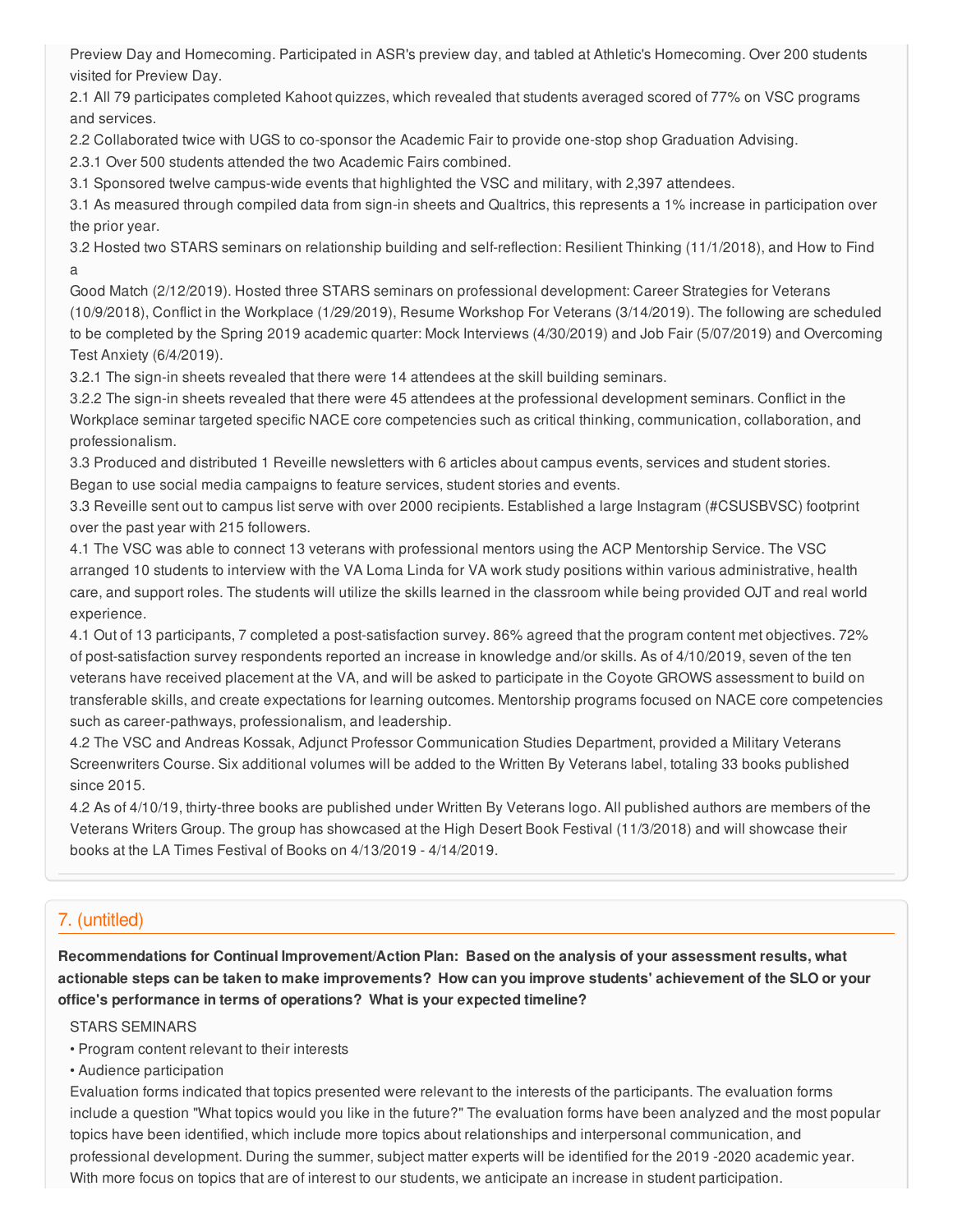Preview Day and Homecoming. Participated in ASR's preview day, and tabled at Athletic's Homecoming. Over 200 students visited for Preview Day.

2.1 All 79 participates completed Kahoot quizzes, which revealed that students averaged scored of 77% on VSC programs and services.

2.2 Collaborated twice with UGS to co-sponsor the Academic Fair to provide one-stop shop Graduation Advising.

2.3.1 Over 500 students attended the two Academic Fairs combined.

3.1 Sponsored twelve campus-wide events that highlighted the VSC and military, with 2,397 attendees.

3.1 As measured through compiled data from sign-in sheets and Qualtrics, this represents a 1% increase in participation over the prior year.

3.2 Hosted two STARS seminars on relationship building and self-reflection: Resilient Thinking (11/1/2018), and How to Find a

Good Match (2/12/2019). Hosted three STARS seminars on professional development: Career Strategies for Veterans (10/9/2018), Conflict in the Workplace (1/29/2019), Resume Workshop For Veterans (3/14/2019). The following are scheduled to be completed by the Spring 2019 academic quarter: Mock Interviews (4/30/2019) and Job Fair (5/07/2019) and Overcoming Test Anxiety (6/4/2019).

3.2.1 The sign-in sheets revealed that there were 14 attendees at the skill building seminars.

3.2.2 The sign-in sheets revealed that there were 45 attendees at the professional development seminars. Conflict in the Workplace seminar targeted specific NACE core competencies such as critical thinking, communication, collaboration, and professionalism.

3.3 Produced and distributed 1 Reveille newsletters with 6 articles about campus events, services and student stories. Began to use social media campaigns to feature services, student stories and events.

3.3 Reveille sent out to campus list serve with over 2000 recipients. Established a large Instagram (#CSUSBVSC) footprint over the past year with 215 followers.

4.1 The VSC was able to connect 13 veterans with professional mentors using the ACP Mentorship Service. The VSC arranged 10 students to interview with the VA Loma Linda for VA work study positions within various administrative, health care, and support roles. The students will utilize the skills learned in the classroom while being provided OJT and real world experience.

4.1 Out of 13 participants, 7 completed a post-satisfaction survey. 86% agreed that the program content met objectives. 72% of post-satisfaction survey respondents reported an increase in knowledge and/or skills. As of 4/10/2019, seven of the ten veterans have received placement at the VA, and will be asked to participate in the Coyote GROWS assessment to build on transferable skills, and create expectations for learning outcomes. Mentorship programs focused on NACE core competencies such as career-pathways, professionalism, and leadership.

4.2 The VSC and Andreas Kossak, Adjunct Professor Communication Studies Department, provided a Military Veterans Screenwriters Course. Six additional volumes will be added to the Written By Veterans label, totaling 33 books published since 2015.

4.2 As of 4/10/19, thirty-three books are published under Written By Veterans logo. All published authors are members of the Veterans Writers Group. The group has showcased at the High Desert Book Festival (11/3/2018) and will showcase their books at the LA Times Festival of Books on 4/13/2019 - 4/14/2019.

# 7. (untitled)

**Recommendations for Continual Improvement/Action Plan: Based on the analysis of your assessment results, what** actionable steps can be taken to make improvements? How can you improve students' achievement of the SLO or your **office's performance in terms of operations? What is your expected timeline?**

STARS SEMINARS

- Program content relevant to their interests
- Audience participation

Evaluation forms indicated that topics presented were relevant to the interests of the participants. The evaluation forms include a question "What topics would you like in the future?" The evaluation forms have been analyzed and the most popular topics have been identified, which include more topics about relationships and interpersonal communication, and professional development. During the summer, subject matter experts will be identified for the 2019 -2020 academic year. With more focus on topics that are of interest to our students, we anticipate an increase in student participation.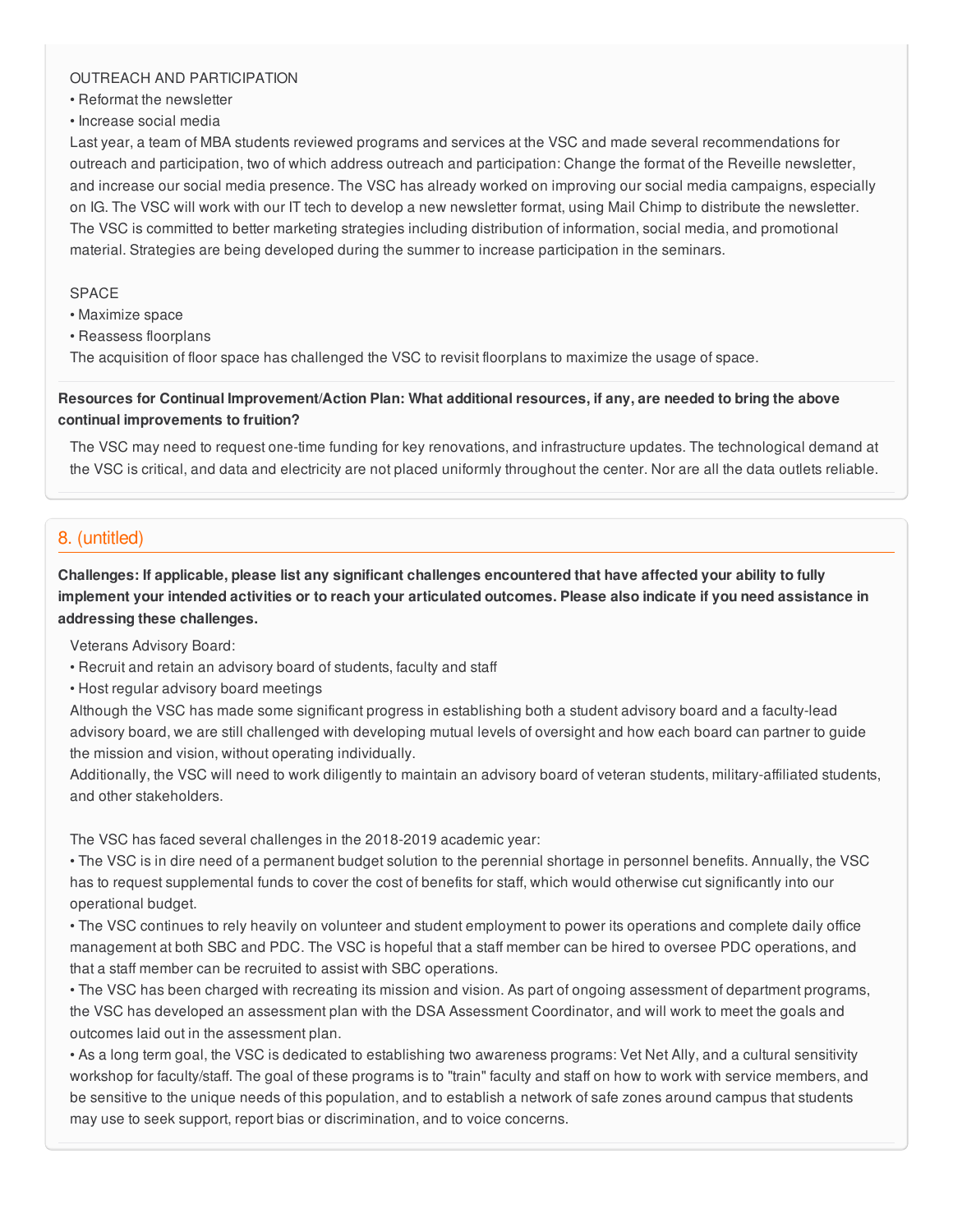### OUTREACH AND PARTICIPATION

• Reformat the newsletter

• Increase social media

Last year, a team of MBA students reviewed programs and services at the VSC and made several recommendations for outreach and participation, two of which address outreach and participation: Change the format of the Reveille newsletter, and increase our social media presence. The VSC has already worked on improving our social media campaigns, especially on IG. The VSC will work with our IT tech to develop a new newsletter format, using Mail Chimp to distribute the newsletter. The VSC is committed to better marketing strategies including distribution of information, social media, and promotional material. Strategies are being developed during the summer to increase participation in the seminars.

### SPACE

- Maximize space
- Reassess floorplans

The acquisition of floor space has challenged the VSC to revisit floorplans to maximize the usage of space.

Resources for Continual Improvement/Action Plan: What additional resources, if any, are needed to bring the above **continual improvements to fruition?**

The VSC may need to request one-time funding for key renovations, and infrastructure updates. The technological demand at the VSC is critical, and data and electricity are not placed uniformly throughout the center. Nor are all the data outlets reliable.

# 8. (untitled)

Challenges: If applicable, please list any significant challenges encountered that have affected your ability to fully implement your intended activities or to reach your articulated outcomes. Please also indicate if you need assistance in **addressing these challenges.**

Veterans Advisory Board:

- Recruit and retain an advisory board of students, faculty and staff
- Host regular advisory board meetings

Although the VSC has made some significant progress in establishing both a student advisory board and a faculty-lead advisory board, we are still challenged with developing mutual levels of oversight and how each board can partner to guide the mission and vision, without operating individually.

Additionally, the VSC will need to work diligently to maintain an advisory board of veteran students, military-affiliated students, and other stakeholders.

The VSC has faced several challenges in the 2018-2019 academic year:

• The VSC is in dire need of a permanent budget solution to the perennial shortage in personnel benefits. Annually, the VSC has to request supplemental funds to cover the cost of benefits for staff, which would otherwise cut significantly into our operational budget.

• The VSC continues to rely heavily on volunteer and student employment to power its operations and complete daily office management at both SBC and PDC. The VSC is hopeful that a staff member can be hired to oversee PDC operations, and that a staff member can be recruited to assist with SBC operations.

• The VSC has been charged with recreating its mission and vision. As part of ongoing assessment of department programs, the VSC has developed an assessment plan with the DSA Assessment Coordinator, and will work to meet the goals and outcomes laid out in the assessment plan.

• As a long term goal, the VSC is dedicated to establishing two awareness programs: Vet Net Ally, and a cultural sensitivity workshop for faculty/staff. The goal of these programs is to "train" faculty and staff on how to work with service members, and be sensitive to the unique needs of this population, and to establish a network of safe zones around campus that students may use to seek support, report bias or discrimination, and to voice concerns.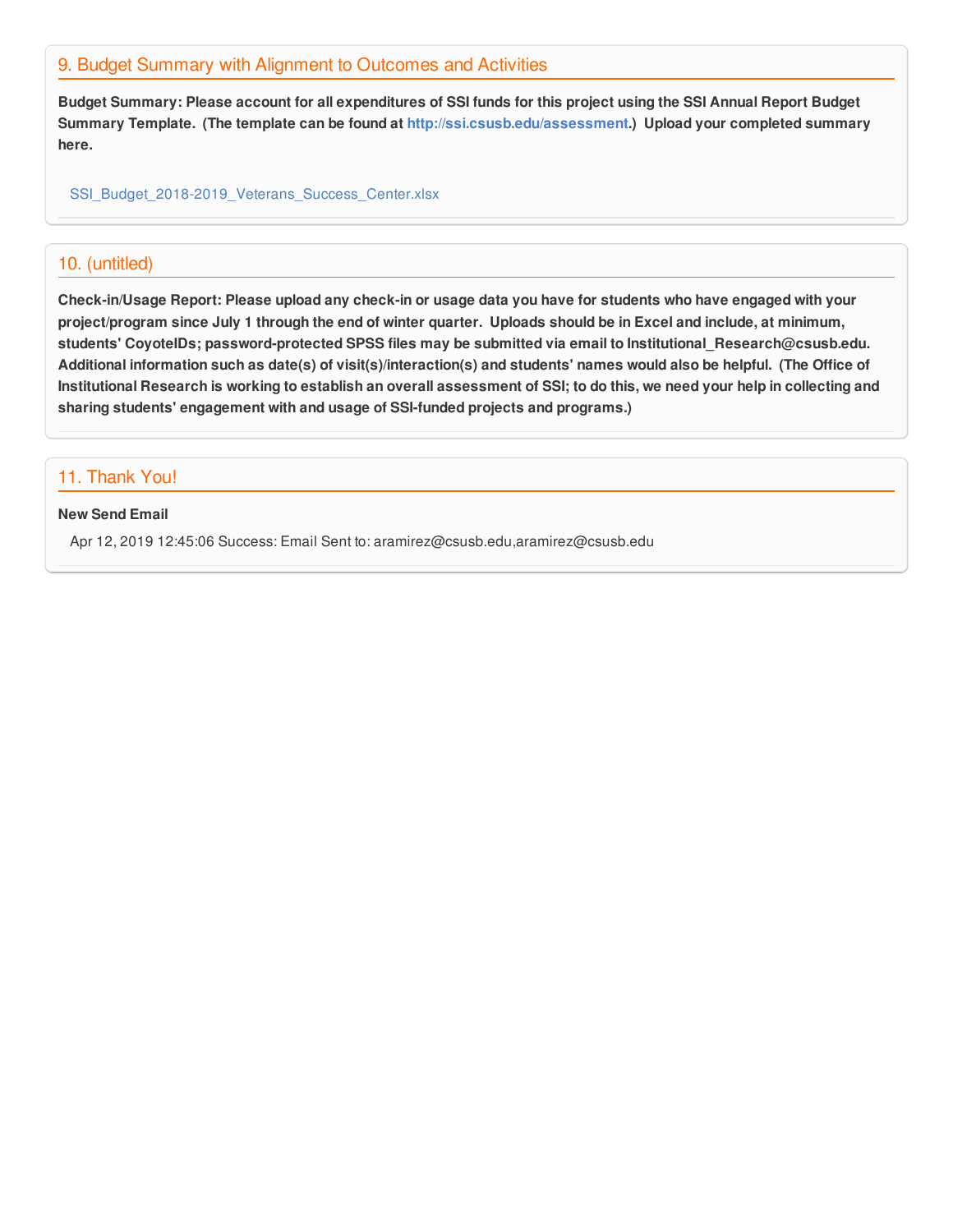## 9. Budget Summary with Alignment to Outcomes and Activities

Budget Summary: Please account for all expenditures of SSI funds for this project using the SSI Annual Report Budget **Summary Template. (The template can be found at <http://ssi.csusb.edu/assessment>.) Upload your completed summary here.**

[SSI\\_Budget\\_2018-2019\\_Veterans\\_Success\\_Center.xlsx](https://surveygizmoresponseuploads.s3.amazonaws.com/fileuploads/98679/3939151/241-cff7d8a908c493c03a8bc3a141a355e1_SSI_Budget_2018-2019_Veterans_Success_Center.xlsx)

## 10. (untitled)

Check-in/Usage Report: Please upload any check-in or usage data you have for students who have engaged with your project/program since July 1 through the end of winter quarter. Uploads should be in Excel and include, at minimum, **students' CoyoteIDs; password-protected SPSS files may be submitted via email to Institutional\_Research@csusb.edu.** Additional information such as date(s) of visit(s)/interaction(s) and students' names would also be helpful. (The Office of Institutional Research is working to establish an overall assessment of SSI; to do this, we need your help in collecting and **sharing students' engagement with and usage of SSI-funded projects and programs.)**

## 11. Thank You!

#### **New Send Email**

Apr 12, 2019 12:45:06 Success: Email Sent to: aramirez@csusb.edu,aramirez@csusb.edu